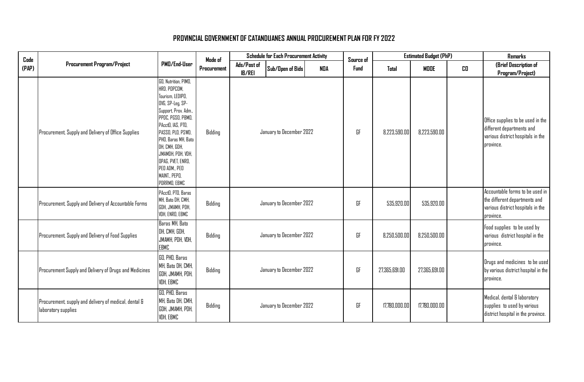| Code  |                                                                              |                                                                                                                                                                                                                                                                                                         | Mode of     |                              | <b>Schedule for Each Procurement Activity</b> |            | Source of   |               | <b>Estimated Budget (PhP)</b> |    | <b>Remarks</b>                                                                                                     |
|-------|------------------------------------------------------------------------------|---------------------------------------------------------------------------------------------------------------------------------------------------------------------------------------------------------------------------------------------------------------------------------------------------------|-------------|------------------------------|-----------------------------------------------|------------|-------------|---------------|-------------------------------|----|--------------------------------------------------------------------------------------------------------------------|
| (PAP) | <b>Procurement Program/Project</b>                                           | PMD/End-User                                                                                                                                                                                                                                                                                            | Procurement | Ads/Post of<br><b>IB/REI</b> | Sub/Open of Bids                              | <b>NDA</b> | <b>Fund</b> | Total         | <b>MODE</b>                   | CD | (Brief Description of<br>Program/Project)                                                                          |
|       | Procurement, Supply and Delivery of Office Supplies                          | GO, Nutrition, PIMO,<br>HRD. POPCOM.<br>Tourism, LEDIPO,<br>OVG, SP-Leg, SP-<br>Support, Prov. Adm.,<br>PPDC, PGSO, PBMO,<br>PAcctO, IAS, PTO,<br>PASSO, PLO, PSWD,<br>PHO, Baras MH, Bato<br>DH, CMH, GDH,<br>JMAMDH, PDH, VDH,<br>OPAG, PVET, ENRO,<br>PEO ADM., PEO<br>MAINT., PEPO.<br>PDRRMO, EBMC | Bidding     |                              | January to December 2022                      |            | GF          | 8,223,590.00  | 8.223.590.00                  |    | Office supplies to be used in the<br>different departments and<br>various district hospitals in the<br>province.   |
|       | Procurement, Supply and Delivery of Accountable Forms                        | PAcctO, PTO, Baras<br>MH. Bato DH. CMH.<br>GDH, JMAMH, PDH,<br>VDH, ENRO, EBMC                                                                                                                                                                                                                          | Bidding     |                              | January to December 2022                      |            | GF          | 535,920.00    | 535,920.00                    |    | Accountable forms to be used in<br>the different departments and<br>various district hospitals in the<br>province. |
|       | Procurement, Supply and Delivery of Food Supplies                            | Baras MH, Bato<br>DH, CMH, GDH,<br>JMAMH, PDH, VDH,<br>EBMC                                                                                                                                                                                                                                             | Bidding     |                              | January to December 2022                      |            | GF          | 8,250,500.00  | 8,250,500.00                  |    | Food supplies to be used by<br>various district hospital in the<br>province.                                       |
|       | Procurement Supply and Delivery of Drugs and Medicines                       | GO, PHO, Baras<br>MH, Bato DH, CMH,<br>GDH, JMAMH, PDH,<br>VDH, EBMC                                                                                                                                                                                                                                    | Bidding     |                              | January to December 2022                      |            | GF          | 27,365,691.00 | 27,365,691.00                 |    | Drugs and medicines to be used<br>by various district hospital in the<br>province.                                 |
|       | Procurement, supply and delivery of medical, dental &<br>laboratory supplies | GO, PHO, Baras<br>MH, Bato DH, CMH,<br>GDH, JMAMH, PDH,<br>VDH, EBMC                                                                                                                                                                                                                                    | Bidding     |                              | January to December 2022                      |            | GF          | 17,780,000.00 | 17.780.000.00                 |    | Medical, dental & laboratory<br>supplies to used by various<br>district hospital in the province.                  |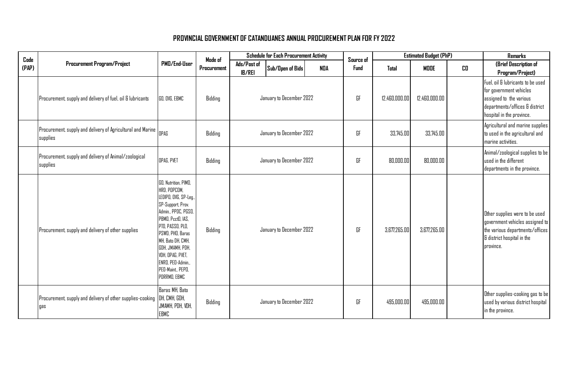| Code  |                                                                         |                                                                                                                                                                                                                                                                                             | Made of     |                              | <b>Schedule for Each Procurement Activity</b> |            | Source of |               | <b>Estimated Budget (PhP)</b> |    | <b>Remarks</b>                                                                                                                                         |
|-------|-------------------------------------------------------------------------|---------------------------------------------------------------------------------------------------------------------------------------------------------------------------------------------------------------------------------------------------------------------------------------------|-------------|------------------------------|-----------------------------------------------|------------|-----------|---------------|-------------------------------|----|--------------------------------------------------------------------------------------------------------------------------------------------------------|
| (PAP) | <b>Procurement Program/Project</b>                                      | PMD/End-User                                                                                                                                                                                                                                                                                | Procurement | Ads/Post of<br><b>IB/REI</b> | Sub/Open of Bids                              | <b>NDA</b> | Fund      | Total         | MODE                          | CD | (Brief Description of<br>Program/Project)                                                                                                              |
|       | Procurement, supply and delivery of fuel, oil & lubricants              | GO, OVG, EBMC                                                                                                                                                                                                                                                                               | Bidding     |                              | January to December 2022                      |            | GF        | 12,460,000.00 | 12,460,000.00                 |    | Fuel, oil & lubricants to be used<br>for government vehicles<br>assigned to the various<br>departments/offices & district<br>hospital in the province. |
|       | Procurement, supply and delivery of Agricultural and Marine<br>supplies | OPAG                                                                                                                                                                                                                                                                                        | Bidding     |                              | January to December 2022                      |            | GF        | 33,745.00     | 33,745.00                     |    | Agricultural and marine supplies<br>to used in the agricultural and<br>marine activities.                                                              |
|       | Procurement, supply and delivery of Animal/zoological<br>supplies       | OPAG, PVET                                                                                                                                                                                                                                                                                  | Bidding     |                              | January to December 2022                      |            | GF        | 80,000.00     | 80,000.00                     |    | Animal/zoological supplies to be<br>used in the different<br>departments in the province.                                                              |
|       | Procurement, supply and delivery of other supplies                      | GO, Nutrition, PIMO,<br>HRD, POPCOM,<br>LEDIPO, OVG, SP-Leg.,<br>SP-Support, Prov.<br>Admin., PPDC, PGSO,<br>PBMO, PcctO, IAS,<br>PTO, PASSO, PLO,<br>PSWD, PHD, Baras<br>MH, Bato DH, CMH,<br>GDH, JMAMH, PDH,<br>VDH, OPAG, PVET,<br>ENRO, PEO-Admin.<br>PED-Maint, PEPD,<br>PDRRMO, EBMC | Bidding     |                              | January to December 2022                      |            | GF        | 3,677,265.00  | 3,677,265.00                  |    | Other supplies were to be used<br>government vehicles assigned to<br>the various departments/offices<br>& district hospital in the<br>province.        |
|       | Procurement, supply and delivery of other supplies-cooking<br>qas       | Baras MH, Bato<br>DH, CMH, GDH,<br>JMAMH, PDH, VDH,<br><b>EBMC</b>                                                                                                                                                                                                                          | Bidding     | January to December 2022     |                                               |            | GF        | 495,000.00    | 495,000.00                    |    | Other supplies-cooking gas to be<br>used by various district hospital<br>in the province.                                                              |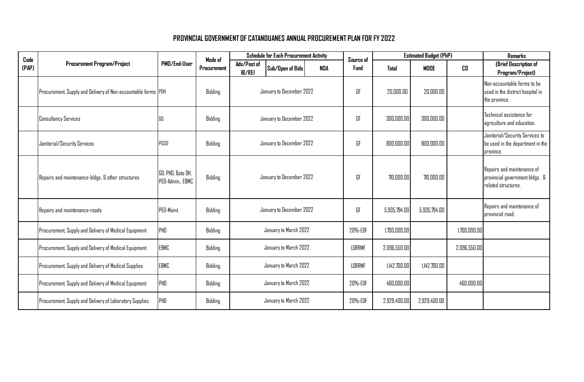| Code  |                                                               |                                       | Mode of     | <b>Schedule for Each Procurement Activity</b> |                          |               | Source of    |              | <b>Estimated Budget (PhP)</b> |              | <b>Remarks</b>                                                                      |
|-------|---------------------------------------------------------------|---------------------------------------|-------------|-----------------------------------------------|--------------------------|---------------|--------------|--------------|-------------------------------|--------------|-------------------------------------------------------------------------------------|
| (PAP) | <b>Procurement Program/Project</b>                            | PMD/End-User                          | Procurement | Ads/Post of<br><b>IB/REI</b>                  | Sub/Open of Bids         | <b>NDA</b>    | <b>Fund</b>  | Total        | <b>MODE</b>                   | CD           | (Brief Description of<br>Program/Project)                                           |
|       | Procurement, Supply and Delivery of Non-accountable forms PDH |                                       | Bidding     |                                               | January to December 2022 |               | GF           | 20,000.00    | 20.000.00                     |              | Non-accountable forms to be<br>used in the district hospital in<br>the province.    |
|       | <b>Consultancy Services</b>                                   | 60                                    | Bidding     |                                               | January to December 2022 |               | GF           | 300,000.00   | 300,000.00                    |              | Technical assistance for<br>agriculture and education.                              |
|       | Janitorial/Security Services                                  | PGSO                                  | Bidding     | January to December 2022                      |                          |               | GF           | 800,000.00   | 800,000.00                    |              | Janitorial/Security Services to<br>be used in the department in the<br>province.    |
|       | Repairs and maintenance-bldgs. & other structures             | GO, PHO, Bato DH,<br>PED-Admin., EBMC | Bidding     | January to December 2022                      |                          |               | GF           | 710,000.00   | 710,000.00                    |              | Repairs and maintenance of<br>provincial government bldgs. &<br>related structures. |
|       | Repairs and maintenance-roads                                 | PED-Maint.                            | Bidding     |                                               | January to December 2022 |               | GF           | 5,935,794.00 | 5,935,794.00                  |              | Repairs and maintenance of<br>provincial road.                                      |
|       | Procurement, Supply and Delivery of Medical Equipment         | PHD                                   | Bidding     |                                               | January to March 2022    |               | 20%-EDF      | 1,700,000.00 |                               | 1,700,000.00 |                                                                                     |
|       | Procurement, Supply and Delivery of Medical Equipment         | EBMC                                  | Bidding     |                                               | January to March 2022    |               | LDRRMF       | 2,096,550.00 |                               | 2,096,550.00 |                                                                                     |
|       | Procurement, Supply and Delivery of Medical Supplies          | EBMC                                  | Bidding     | January to March 2022                         |                          | <b>LDRRMF</b> | 1,142,700.00 | 1.142.700.00 |                               |              |                                                                                     |
|       | Procurement, Supply and Delivery of Medical Equipment         | PHD                                   | Bidding     | January to March 2022                         |                          | 20%-EDF       | 460,000.00   |              | 460,000.00                    |              |                                                                                     |
|       | Procurement, Supply and Delivery of Laboratory Supplies       | PHD                                   | Bidding     | January to March 2022                         |                          |               | 20%-EDF      | 2,929,400.00 | 2,929,400.00                  |              |                                                                                     |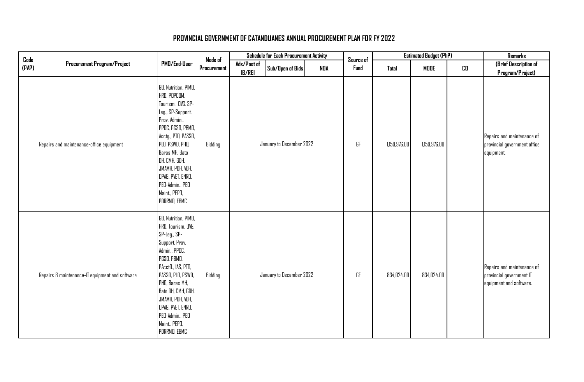| $\mathop{\mathsf{Code}}$ |                                                 |                                                                                                                                                                                                                                                                                                | Made of     | <b>Schedule for Each Procurement Activity</b> |                          |     | Source of |              | <b>Estimated Budget (PhP)</b> |    | Remarks                                                                           |
|--------------------------|-------------------------------------------------|------------------------------------------------------------------------------------------------------------------------------------------------------------------------------------------------------------------------------------------------------------------------------------------------|-------------|-----------------------------------------------|--------------------------|-----|-----------|--------------|-------------------------------|----|-----------------------------------------------------------------------------------|
| (PAP)                    | <b>Procurement Program/Project</b>              | PMD/End-User                                                                                                                                                                                                                                                                                   | Procurement | Ads/Post of<br><b>IB/REI</b>                  | Sub/Open of Bids         | NDA | Fund      | Total        | MODE                          | CD | (Brief Description of<br>Program/Project)                                         |
|                          | Repairs and maintenance-office equipment        | GO, Nutrition, PIMO,<br>HRD, POPCOM,<br>Tourism, DVG, SP-<br>Leg., SP-Support,<br>Prov. Admin.,<br>PPDC, PGSO, PBMO,<br>Acctg., PTD, PASSO,<br>PLO, PSWD, PHO,<br>Baras MH, Bato<br>DH, CMH, GDH,<br>JMAMH, PDH, VDH,<br>OPAG, PVET, ENRO,<br>PED-Admin., PED<br>Maint., PEPD,<br>PDRRMO, EBMC | Bidding     |                                               | January to December 2022 |     | GF        | 1,159,976.00 | 1,159,976.00                  |    | Repairs and maintenance of<br>provincial government office<br>equipment.          |
|                          | Repairs & maintenance-IT equipment and software | GO, Nutrition, PIMO,<br>HRD, Tourism, OVG,<br>SP-Leg., SP-<br>Support, Prov.<br>Admin., PPDC,<br>PGSO, PBMO,<br>PAcctO., IAS, PTO,<br>PASSO, PLO, PSWD,<br>PHD, Baras MH,<br>Bato DH, CMH, GDH,<br>JMAMH, PDH, VDH,<br>OPAG, PVET, ENRO,<br>PED-Admin., PED<br>Maint., PEPO,<br>PDRRMO, EBMC   | Bidding     |                                               | January to December 2022 |     | GF        | 834,024.00   | 834,024.00                    |    | Repairs and maintenance of<br>provincial government IT<br>equipment and software. |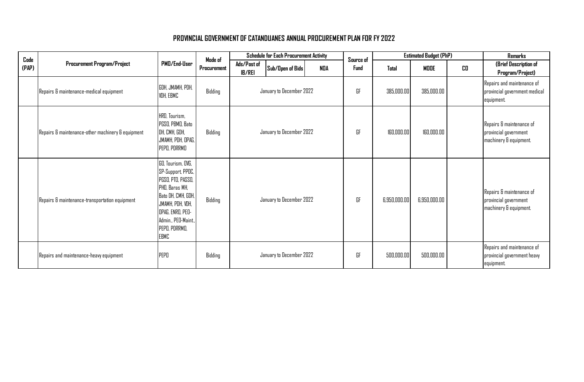| Code  |                                                   |                                                                                                                                                                                             | Made of     | <b>Schedule for Each Procurement Activity</b> |                          | Source of  |      | <b>Estimated Budget (PhP)</b> |              | Remarks |                                                                             |
|-------|---------------------------------------------------|---------------------------------------------------------------------------------------------------------------------------------------------------------------------------------------------|-------------|-----------------------------------------------|--------------------------|------------|------|-------------------------------|--------------|---------|-----------------------------------------------------------------------------|
| (PAP) | <b>Procurement Program/Project</b>                | PMD/End-User                                                                                                                                                                                | Procurement | Ads/Post of<br><b>IB/REI</b>                  | Sub/Open of Bids         | <b>NDA</b> | Fund | Total                         | MODE         | CD      | (Brief Description of<br>Program/Project)                                   |
|       | Repairs & maintenance-medical equipment           | GDH, JMAMH, PDH,<br>VDH, EBMC                                                                                                                                                               | Bidding     |                                               | January to December 2022 |            | GF   | 385,000.00                    | 385,000.00   |         | Repairs and maintenance of<br>provincial government medical<br>equipment.   |
|       | Repairs & maintenance-other machinery & equipment | HRD, Tourism,<br>PGSO, PBMO, Bato<br>DH, CMH, GDH,<br>JMAMH, PDH, OPAG,<br>PEPO, PDRRMO                                                                                                     | Bidding     | January to December 2022                      |                          |            | GF   | 160,000.00                    | 160,000.00   |         | Repairs & maintenance of<br>provincial government<br>machinery & equipment. |
|       | Repairs & maintenance-transportation equipment    | GO, Tourism, OVG,<br>SP-Support, PPDC,<br>PGSO, PTO, PASSO,<br>PHO, Baras MH,<br>Bato DH, CMH, GDH,<br>JMAMH, PDH, VDH,<br>OPAG, ENRO, PEO-<br>Admin., PED-Maint.,<br>PEPO, PDRRMO,<br>EBMC | Bidding     |                                               | January to December 2022 |            | GF   | 6,950,000.00                  | 6,950,000.00 |         | Repairs & maintenance of<br>provincial government<br>machinery & equipment. |
|       | Repairs and maintenance-heavy equipment           | PEPO                                                                                                                                                                                        | Bidding     | January to December 2022                      |                          |            | GF   | 500,000.00                    | 500,000.00   |         | Repairs and maintenance of<br>provincial government heavy<br>equipment.     |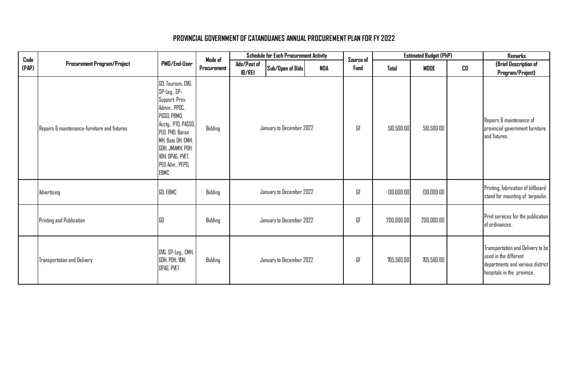| $\mathop{\mathsf{Code}}$ |                                              |                                                                                                                                                                                                                              | Made of     |                              | <b>Schedule for Each Procurement Activity</b> |            | Source of   |            | <b>Estimated Budget (PhP)</b> |    | <b>Remarks</b>                                                                                                               |
|--------------------------|----------------------------------------------|------------------------------------------------------------------------------------------------------------------------------------------------------------------------------------------------------------------------------|-------------|------------------------------|-----------------------------------------------|------------|-------------|------------|-------------------------------|----|------------------------------------------------------------------------------------------------------------------------------|
| (PAP)                    | <b>Procurement Program/Project</b>           | PMD/End-User                                                                                                                                                                                                                 | Procurement | Ads/Past of<br><b>IB/REI</b> | Sub/Open of Bids                              | <b>NDA</b> | <b>Fund</b> | Total      | <b>MODE</b>                   | CD | (Brief Description of<br>Program/Project)                                                                                    |
|                          | Repairs & maintenance-furniture and fixtures | GO, Tourism, OVG,<br>SP-Leg., SP-<br>Support, Prov.<br>Admin., PPDC,<br>PGSO, PBMO,<br>Acctg., PTD, PASSO,<br>PLO, PHO, Baras<br>MH, Bato DH, CMH,<br>GDH, JMAMH, PDH,<br>VDH, OPAG, PVET,<br>PEO Adm., PEPO,<br><b>EBMC</b> | Bidding     |                              | January to December 2022                      |            | GF          | 510,500.00 | 510,500.00                    |    | Repairs & maintenance of<br>provincial government furniture<br>and fixtures.                                                 |
|                          | Advertising                                  | GO, EBMC                                                                                                                                                                                                                     | Bidding     |                              | January to December 2022                      |            | GF          | 130,000.00 | 130,000.00                    |    | Printing, fabrication of billboard<br>stand for mounting of tarpaulin.                                                       |
|                          | Printing and Publication                     | 160                                                                                                                                                                                                                          | Bidding     |                              | January to December 2022                      |            | GF          | 200,000.00 | 200,000.00                    |    | Print services for the publication<br>of ordinances.                                                                         |
|                          | <b>Transportation and Delivery</b>           | OVG, SP-Leg., CMH,<br>GDH, PDH, VDH,<br>OPAG, PVET                                                                                                                                                                           | Bidding     |                              | January to December 2022                      |            | GF          | 705,560.00 | 705,560.00                    |    | Transportation and Delivery to be<br>used in the different<br>departments and various district<br>hospitals in the province. |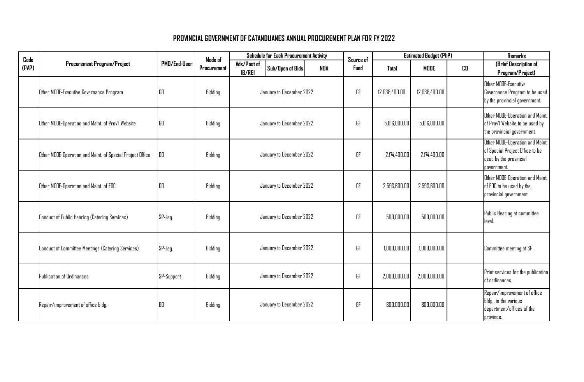| Code  |                                                           |              | Mode of     | <b>Schedule for Each Procurement Activity</b> | Source of                |            | <b>Estimated Budget (PhP)</b> |               | <b>Remarks</b> |    |                                                                                                             |
|-------|-----------------------------------------------------------|--------------|-------------|-----------------------------------------------|--------------------------|------------|-------------------------------|---------------|----------------|----|-------------------------------------------------------------------------------------------------------------|
| (PAP) | <b>Procurement Program/Project</b>                        | PMD/End-User | Procurement | Ads/Past of<br><b>IB/REI</b>                  | Sub/Open of Bids         | <b>NDA</b> | Fund                          | Total         | <b>MDDE</b>    | CO | (Brief Description of<br>Program/Project)                                                                   |
|       | Other MOOE-Executive Governance Program                   | GO           | Bidding     |                                               | January to December 2022 |            | GF                            | 12.038.400.00 | 12.038.400.00  |    | Other MODE-Executive<br>Governance Program to be used<br>by the provincial government.                      |
|       | Other MODE-Operation and Maint. of Prov'l Website         | GO           | Bidding     |                                               | January to December 2022 |            | GF                            | 5,016,000.00  | 5,016,000.00   |    | Other MOOE-Operation and Maint.<br>of Prov'l Website to be used by<br>the provincial government.            |
|       | Other MOOE-Operation and Maint. of Special Project Office | GO           | Bidding     |                                               | January to December 2022 |            | GF                            | 2,174,400.00  | 2.174.400.00   |    | Other MOOE-Operation and Maint.<br>of Special Project Office to be<br>used by the provincial<br>government. |
|       | Other MOOE-Operation and Maint. of EOC                    | GO           | Bidding     |                                               | January to December 2022 |            | GF                            | 2,593,600.00  | 2.593.600.00   |    | Other MODE-Operation and Maint.<br>of EOC to be used by the<br>provincial government.                       |
|       | Conduct of Public Hearing (Catering Services)             | $SP-Leg.$    | Bidding     |                                               | January to December 2022 |            | GF                            | 500,000.00    | 500,000.00     |    | Public Hearing at committee<br>level.                                                                       |
|       | Conduct of Committee Meetings (Catering Services)         | SP-Leg.      | Bidding     |                                               | January to December 2022 |            | GF                            | 1,000,000.00  | 1,000,000.00   |    | Committee meeting at SP.                                                                                    |
|       | <b>Publication of Ordinances</b>                          | SP-Support   | Bidding     |                                               | January to December 2022 |            | GF                            | 2,000,000.00  | 2,000,000.00   |    | Print services for the publication<br>of ordinances.                                                        |
|       | Repair/improvement of office bldg.                        | GO           | Bidding     |                                               | January to December 2022 |            | GF                            | 800,000.00    | 800,000.00     |    | Repair/improvement of office<br>bldg., in the various<br>department/offices of the<br>province.             |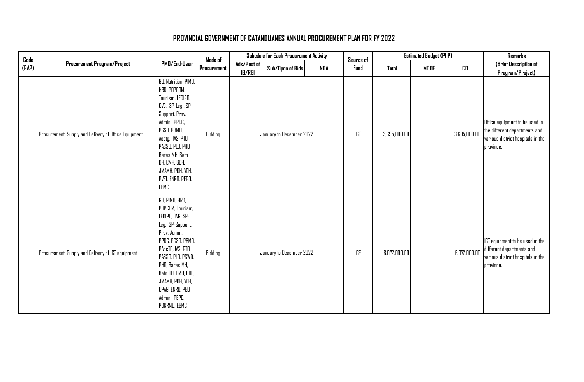| Code  |                                                      |                                                                                                                                                                                                                                                                             | Made of     |                              | <b>Schedule for Each Procurement Activity</b> |     | Source of |              | <b>Estimated Budget (PhP)</b> |              | Remarks                                                                                                           |
|-------|------------------------------------------------------|-----------------------------------------------------------------------------------------------------------------------------------------------------------------------------------------------------------------------------------------------------------------------------|-------------|------------------------------|-----------------------------------------------|-----|-----------|--------------|-------------------------------|--------------|-------------------------------------------------------------------------------------------------------------------|
| (PAP) | Procurement Program/Project                          | PMD/End-User                                                                                                                                                                                                                                                                | Procurement | Ads/Past of<br><b>IB/REI</b> | Sub/Open of Bids                              | NDA | Fund      | <b>Total</b> | MDDE                          | CD           | (Brief Description of<br>Program/Project)                                                                         |
|       | Procurement, Supply and Delivery of Office Equipment | GO, Nutrition, PIMO,<br>HRD, POPCOM,<br>Tourism, LEDIPO,<br>OVG, SP-Leg., SP-<br>Support, Prov.<br>Admin., PPDC,<br>PGSO, PBMO,<br>Acctg., IAS, PTO,<br>PASSO, PLO, PHO,<br>Baras MH, Bato<br>DH, CMH, GDH,<br>JMAMH, PDH, VDH,<br>PVET, ENRO, PEPO,<br><b>EBMC</b>         | Bidding     |                              | January to December 2022                      |     | GF        | 3,695,000.00 |                               | 3,695,000.00 | Office equipment to be used in<br>the different departments and<br>various district hospitals in the<br>province. |
|       | Procurement, Supply and Delivery of ICT equipment    | GO, PIMO, HRD,<br>POPCOM, Tourism,<br>LEDIPO, OVG, SP-<br>Leg., SP-Support,<br>Prov. Admin.,<br>PPDC, PGSO, PBMO,<br>PAccTO, IAS, PTO,<br>PASSO, PLO, PSWD,<br>PHD, Baras MH,<br>Bato DH, CMH, GDH,<br>JMAMH, PDH, VDH,<br>OPAG, ENRO, PEO<br>Admin., PEPD,<br>PDRRMO, EBMC | Bidding     |                              | January to December 2022                      |     | GF        | 6,072,000.00 |                               | 6,072,000.00 | ICT equipment to be used in the<br>different departments and<br>various district hospitals in the<br>province.    |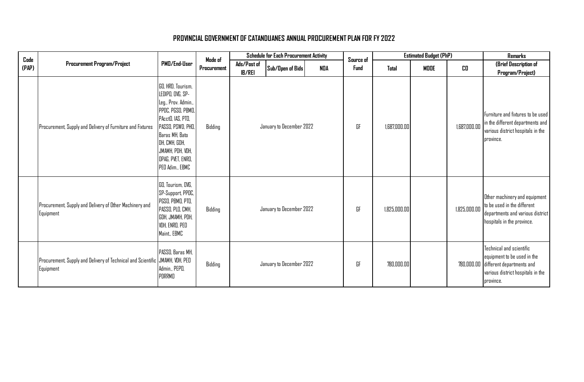| Code  |                                                                                           |                                                                                                                                                                                                                            | Made of     | <b>Schedule for Each Procurement Activity</b> |                          |            |      | <b>Estimated Budget (PhP)</b><br>Source of |             |              | <b>Remarks</b>                                                                                                                                    |
|-------|-------------------------------------------------------------------------------------------|----------------------------------------------------------------------------------------------------------------------------------------------------------------------------------------------------------------------------|-------------|-----------------------------------------------|--------------------------|------------|------|--------------------------------------------|-------------|--------------|---------------------------------------------------------------------------------------------------------------------------------------------------|
| (PAP) | <b>Procurement Program/Project</b>                                                        | PMD/End-User                                                                                                                                                                                                               | Procurement | Ads/Post of<br><b>IB/REI</b>                  | Sub/Open of Bids         | <b>NDA</b> | Fund | Total                                      | <b>MODE</b> | CO           | (Brief Description of<br>Program/Project)                                                                                                         |
|       | Procurement, Supply and Delivery of Furniture and Fixtures                                | GO, HRD, Tourism,<br>LEDIPO, OVG, SP-<br>Leg., Prov. Admin.,<br>PPDC, PGSO, PBMO,<br>PAcctO, IAS, PTO,<br>PASSO, PSWD, PHD,<br>Baras MH, Bato<br>DH, CMH, GDH,<br>JMAMH, PDH, VDH,<br>OPAG, PVET, ENRO,<br>PED Adim., EBMC | Bidding     |                                               | January to December 2022 |            | GF   | 1.687.000.00                               |             | 1,687,000.00 | Furniture and fixtures to be used<br>in the different departments and<br>various district hospitals in the<br>province.                           |
|       | Procurement, Supply and Delivery of Other Machinery and<br>Equipment                      | GO, Tourism, OVG,<br>SP-Support, PPDC,<br>PGSO, PBMO, PTO,<br>PASSO, PLO, CMH,<br>GDH, JMAMH, PDH,<br>VDH, ENRO, PEO<br>Maint., EBMC                                                                                       | Bidding     |                                               | January to December 2022 |            | GF   | 1.825.000.00                               |             | 1,825,000.00 | Other machinery and equipment<br>to be used in the different<br>departments and various district<br>hospitals in the province.                    |
|       | Procurement, Supply and Delivery of Technical and Scientific JMAMH, VDH, PED<br>Equipment | PASSO, Baras MH,<br>Admin., PEPO,<br>PDRRMO                                                                                                                                                                                | Bidding     |                                               | January to December 2022 |            | GF   | 780,000.00                                 |             |              | Technical and scientific<br>equipment to be used in the<br>780,000.00 different departments and<br>various district hospitals in the<br>province. |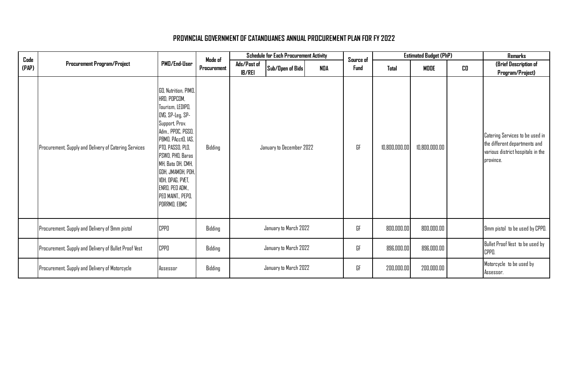| $\mathop{\mathsf{Code}}$ |                                                       |                                                                                                                                                                                                                                                                                                         | Made of     |                              | <b>Schedule for Each Procurement Activity</b> |            | Source of |               | <b>Estimated Budget (PhP)</b> |    | Remarks                                                                                                            |
|--------------------------|-------------------------------------------------------|---------------------------------------------------------------------------------------------------------------------------------------------------------------------------------------------------------------------------------------------------------------------------------------------------------|-------------|------------------------------|-----------------------------------------------|------------|-----------|---------------|-------------------------------|----|--------------------------------------------------------------------------------------------------------------------|
| (PAP)                    | <b>Procurement Program/Project</b>                    | PMD/End-User                                                                                                                                                                                                                                                                                            | Procurement | Ads/Past of<br><b>IB/REI</b> | Sub/Open of Bids                              | <b>NDA</b> | Fund      | Total         | MODE                          | CO | (Brief Description of<br>Program/Project)                                                                          |
|                          | Procurement, Supply and Delivery of Catering Services | GO, Nutrition, PIMO,<br>HRD, POPCOM,<br>Tourism, LEDIPO,<br>OVG, SP-Leg, SP-<br>Support, Prov.<br>Adm., PPDC, PGSO,<br>PBMO, PAcctO, IAS,<br>PTO, PASSO, PLO,<br>PSWD, PHD, Baras<br>MH, Bato DH, CMH,<br>GDH, JMAMDH, PDH,<br>VDH, OPAG, PVET,<br>ENRO, PEO ADM.,<br>PED MAINT., PEPD,<br>PDRRMO, EBMC | Bidding     |                              | January to December 2022                      |            | GF        | 10,800,000.00 | 10,800,000.00                 |    | Catering Services to be used in<br>the different departments and<br>various district hospitals in the<br>province. |
|                          | Procurement, Supply and Delivery of 9mm pistol        | <b>CPPO</b>                                                                                                                                                                                                                                                                                             | Bidding     |                              | January to March 2022                         |            | GF        | 800,000.00    | 800,000.00                    |    | 9mm pistol to be used by CPPO.                                                                                     |
|                          | Procurement, Supply and Delivery of Bullet Proof Vest | <b>CPPO</b>                                                                                                                                                                                                                                                                                             | Bidding     |                              | January to March 2022                         |            | GF        | 896,000.00    | 896,000.00                    |    | Bullet Proof Vest to be used by<br>CPPO.                                                                           |
|                          | Procurement, Supply and Delivery of Motorcycle        | Assessor                                                                                                                                                                                                                                                                                                | Bidding     |                              | January to March 2022                         |            | GF        | 200,000.00    | 200,000.00                    |    | Motorcycle to be used by<br>Assessor.                                                                              |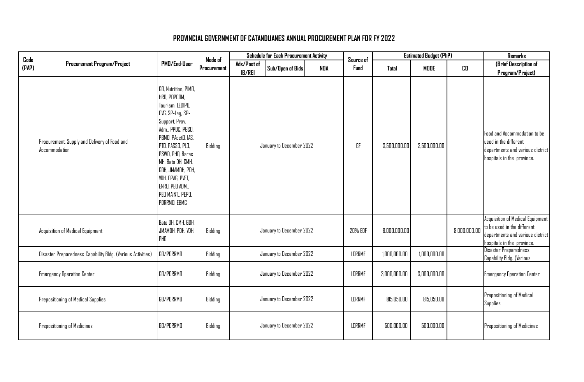| Code  |                                                               |                                                                                                                                                                                                                                                                                                         | Made of     |                              | <b>Schedule for Each Procurement Activity</b> |            | Source of     |              | <b>Estimated Budget (PhP)</b> |              | <b>Remarks</b>                                                                                                                    |
|-------|---------------------------------------------------------------|---------------------------------------------------------------------------------------------------------------------------------------------------------------------------------------------------------------------------------------------------------------------------------------------------------|-------------|------------------------------|-----------------------------------------------|------------|---------------|--------------|-------------------------------|--------------|-----------------------------------------------------------------------------------------------------------------------------------|
| (PAP) | <b>Procurement Program/Project</b>                            | PMD/End-User                                                                                                                                                                                                                                                                                            | Procurement | Ads/Past of<br><b>IB/REI</b> | Sub/Open of Bids                              | <b>NDA</b> | <b>Fund</b>   | Total        | <b>MODE</b>                   | CO           | (Brief Description of<br>Program/Project)                                                                                         |
|       | Procurement, Supply and Delivery of Food and<br>Accommodation | GO, Nutrition, PIMO,<br>HRD, POPCOM,<br>Tourism, LEDIPO,<br>OVG, SP-Leg, SP-<br>Support, Prov.<br>Adm., PPDC, PGSO,<br>PBMD, PAcctO, IAS,<br>PTO, PASSO, PLO,<br>PSWD, PHD, Baras<br>MH, Bato DH, CMH,<br>GDH, JMAMDH, PDH,<br>VDH, OPAG, PVET,<br>ENRO, PEO ADM.,<br>PEO MAINT., PEPO,<br>PDRRMO, EBMC | Bidding     |                              | January to December 2022                      |            | GF            | 3,500,000.00 | 3,500,000.00                  |              | Food and Accommodation to be<br>used in the different<br>departments and various district<br>hospitals in the province.           |
|       | Acquisition of Medical Equipment                              | Bato DH, CMH, GDH,<br>JMAMDH, PDH, VDH,<br>PHO                                                                                                                                                                                                                                                          | Bidding     |                              | January to December 2022                      |            | 20% EDF       | 8,000,000.00 |                               | 8,000,000.00 | Acquisition of Medical Equipment<br>to be used in the different<br>departments and various district<br>hospitals in the province. |
|       | Disaster Preparedness Capability Bldg. (Various Activities)   | GO/PDRRMO                                                                                                                                                                                                                                                                                               | Bidding     |                              | January to December 2022                      |            | LDRRMF        | 1,000,000.00 | 1,000,000.00                  |              | Disaster Preparedness<br>Capability Bldg. (Various                                                                                |
|       | <b>Emergency Operation Center</b>                             | GO/PDRRMO                                                                                                                                                                                                                                                                                               | Bidding     |                              | January to December 2022                      |            | LDRRMF        | 3,000,000.00 | 3,000,000.00                  |              | <b>Emergency Operation Center</b>                                                                                                 |
|       | Prepositioning of Medical Supplies                            | GO/PDRRMO                                                                                                                                                                                                                                                                                               | Bidding     |                              | January to December 2022                      |            | <b>LDRRMF</b> | 815.050.00   | 815.050.00                    |              | Prepositioning of Medical<br><b>Supplies</b>                                                                                      |
|       | Prepositioning of Medicines                                   | GO/PDRRMO                                                                                                                                                                                                                                                                                               | Bidding     |                              | January to December 2022                      |            | LDRRMF        | 500,000.00   | 500,000.00                    |              | Prepositioning of Medicines                                                                                                       |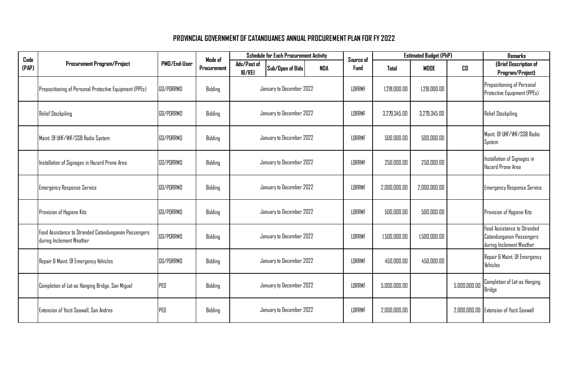| Code  |                                                                                  |              | Mode of     |                              | <b>Schedule for Each Procurement Activity</b> |               | Source of     |              | <b>Estimated Budget (PhP)</b> |                                                  | <b>Remarks</b>                                                                      |
|-------|----------------------------------------------------------------------------------|--------------|-------------|------------------------------|-----------------------------------------------|---------------|---------------|--------------|-------------------------------|--------------------------------------------------|-------------------------------------------------------------------------------------|
| (PAP) | <b>Procurement Program/Project</b>                                               | PMD/End-User | Procurement | Ads/Past of<br><b>IB/REI</b> | Sub/Open of Bids                              | NDA           | <b>Fund</b>   | Total        | <b>MODE</b>                   | CO.                                              | (Brief Description of<br>Program/Project)                                           |
|       | Prepositioning of Personal Protective Equipment (PPEs)                           | GO/PDRRMO    | Bidding     |                              | January to December 2022                      |               | LDRRMF        | 1,291,000.00 | 1,291,000.00                  |                                                  | Prepositioning of Personal<br>Protective Equipment (PPEs)                           |
|       | <b>Relief Stockpiling</b>                                                        | GO/PDRRMO    | Bidding     |                              | January to December 2022                      |               | <b>LDRRMF</b> | 3,279,345.00 | 3,279,345.00                  |                                                  | <b>Relief Stockpiling</b>                                                           |
|       | Maint. Of UHF/VHF/SSB Radio System                                               | GO/PDRRMO    | Bidding     | January to December 2022     |                                               | LDRRMF        | 500,000.00    | 500,000.00   |                               | Maint. Of UHF/VHF/SSB Radio<br>System            |                                                                                     |
|       | Installation of Signages in Hazard Prone Area                                    | GO/PDRRMO    | Bidding     | January to December 2022     |                                               | <b>LDRRMF</b> | 250.000.00    | 250,000.00   |                               | Installation of Signages in<br>Hazard Prone Area |                                                                                     |
|       | <b>Emergency Response Service</b>                                                | GO/PDRRMO    | Bidding     |                              | January to December 2022                      |               | <b>LDRRMF</b> | 2.000.000.00 | 2.000.000.00                  |                                                  | <b>Emergency Response Service</b>                                                   |
|       | Provision of Hygiene Kits                                                        | GO/PDRRMO    | Bidding     |                              | January to December 2022                      |               | <b>LDRRMF</b> | 500,000.00   | 500,000.00                    |                                                  | Provision of Hygiene Kits                                                           |
|       | Food Assistance to Stranded Catandunganon Passengers<br>during Inclement Weather | GO/PDRRMO    | Bidding     |                              | January to December 2022                      |               | <b>LDRRMF</b> | 1,500,000.00 | 1.500.000.00                  |                                                  | Food Assistance to Stranded<br>Catandunganon Passengers<br>during Inclement Weather |
|       | Repair & Maint. Of Emergency Vehicles                                            | GO/PDRRMO    | Bidding     |                              | January to December 2022                      |               | LDRRMF        | 450,000.00   | 450,000.00                    |                                                  | Repair & Maint. Of Emergency<br>Vehicles                                            |
|       | Completion of Lat-as Hanging Bridge, San Miguel                                  | PED          | Bidding     | January to December 2022     |                                               | <b>LDRRMF</b> | 5,000,000.00  |              | 5,000,000.00                  | Completion of Lat-as Hanging<br>Bridge           |                                                                                     |
|       | Extension of Yocti Seawall, San Andres                                           | PEO          | Bidding     | January to December 2022     |                                               | <b>LDRRMF</b> | 2,000,000.00  |              | 2,000,000.00                  | <b>Extension of Yocti Seawall</b>                |                                                                                     |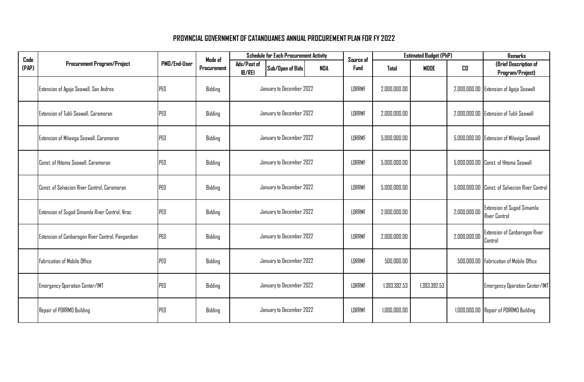| Code  |                                                   |              | Mode of     | <b>Schedule for Each Procurement Activity</b> |                          |            |        | Source of     |              | <b>Estimated Budget (PhP)</b> | Remarks                        |                                                           |
|-------|---------------------------------------------------|--------------|-------------|-----------------------------------------------|--------------------------|------------|--------|---------------|--------------|-------------------------------|--------------------------------|-----------------------------------------------------------|
| (PAP) | <b>Procurement Program/Project</b>                | PMD/End-User | Procurement | Ads/Past of<br><b>IB/REI</b>                  | Sub/Open of Bids         | <b>NDA</b> |        | Fund          | Total        | <b>MODE</b>                   | CD                             | (Brief Description of<br>Program/Project)                 |
|       | Extension of Agojo Seawall, San Andres            | PEO          | Bidding     |                                               | January to December 2022 |            |        | <b>LDRRMF</b> | 2,000,000.00 |                               |                                | 2,000,000.00 Extension of Agojo Seawall                   |
|       | Extension of Tubli Seawall, Caramoran             | PEO          | Bidding     | January to December 2022                      |                          |            |        | LDRRMF        | 2,000,000.00 |                               |                                | 2,000,000.00 Extension of Tubli Seawall                   |
|       | Extension of Milaviga Seawall, Caramoran          | PEO          | Bidding     | January to December 2022                      |                          |            |        | LDRRMF        | 5,000,000.00 |                               |                                | 5,000,000.00 Extension of Milaviga Seawall                |
|       | Const. of Hitoma Seawall, Caramoran               | PEO          | Bidding     | January to December 2022                      |                          |            |        | LDRRMF        | 5,000,000.00 |                               |                                | 5,000,000.00 Const. of Hitoma Seawall                     |
|       | Const. of Salvacion River Control, Caramoran      | PEO          | Bidding     | January to December 2022                      |                          |            |        | LDRRMF        | 5,000,000.00 |                               |                                | 5,000,000.00 Const. of Salvacion River Control            |
|       | Extension of Sugod Simamla River Control, Virac   | PEO          | Bidding     |                                               | January to December 2022 |            |        | LDRRMF        | 2,000,000.00 |                               | 2,000,000.00                   | <b>Extension of Sugod Simamla</b><br><b>River Control</b> |
|       | Extension of Canbaragon River Control, Panganiban | PED          | Bidding     |                                               | January to December 2022 |            |        | <b>LDRRMF</b> | 2.000.000.00 |                               | 2,000,000.00                   | Extension of Canbaragon River<br>Control                  |
|       | Fabrication of Mobile Office                      | PEO          | Bidding     |                                               | January to December 2022 |            |        | LDRRMF        | 500,000.00   |                               |                                | 500,000.00 Fabrication of Mobile Office                   |
|       | Emergency Operation Center/IMT                    | PEO          | Bidding     | January to December 2022                      |                          |            | LDRRMF | 1,393,392.53  | 1,393,392.53 |                               | Emergency Operation Center/IMT |                                                           |
|       | Repair of PDRRMD Building                         | PEO          | Bidding     |                                               | January to December 2022 |            |        | LDRRMF        | 1,000,000.00 |                               |                                | 1,000,000.00 Repair of PDRRMO Building                    |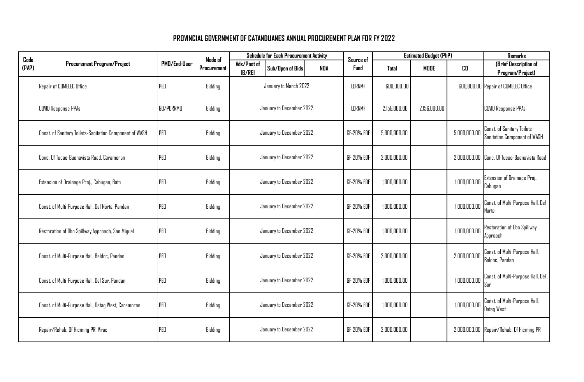| Code  |                                                         |              | Mode of     | <b>Schedule for Each Procurement Activity</b> |                          |     | Source of     |              | <b>Estimated Budget (PhP)</b> | <b>Remarks</b> |                                                             |
|-------|---------------------------------------------------------|--------------|-------------|-----------------------------------------------|--------------------------|-----|---------------|--------------|-------------------------------|----------------|-------------------------------------------------------------|
| (PAP) | <b>Procurement Program/Project</b>                      | PMD/End-User | Procurement | Ads/Post of<br><b>IB/REI</b>                  | Sub/Open of Bids         | NDA | Fund          | Total        | <b>MODE</b>                   | CO             | (Brief Description of<br>Program/Project)                   |
|       | Repair of COMELEC Office                                | PED          | Bidding     |                                               | January to March 2022    |     | LDRRMF        | 600,000.00   |                               |                | 600,000.00 Repair of COMELEC Office                         |
|       | <b>COVID Response PPAs</b>                              | GO/PDRRMO    | Bidding     |                                               | January to December 2022 |     | <b>LDRRMF</b> | 2.156.000.00 | 2.156.000.00                  |                | <b>COVID Response PPAs</b>                                  |
|       | Const. of Sanitary Toilets-Sanitation Component of WASH | PED          | Bidding     | January to December 2022                      |                          |     | GF-20% EDF    | 5,000,000.00 |                               | 5,000,000.00   | Const. of Sanitary Toilets-<br>Sanitation Component of WASH |
|       | Conc. Of Tucao-Buenavista Road, Caramoran               | PEO          | Bidding     | January to December 2022                      |                          |     | GF-20% EDF    | 2,000,000.00 |                               |                | 2,000,000.00 Conc. Of Tucao-Buenavista Road                 |
|       | Extension of Drainage Proj., Cabugao, Bato              | PED          | Bidding     |                                               | January to December 2022 |     | GF-20% EDF    | 1,000,000.00 |                               | 1,000,000.00   | Extension of Drainage Proj.,<br>Cabugao                     |
|       | Const. of Multi-Purpose Hall, Del Norte, Pandan         | PED          | Bidding     |                                               | January to December 2022 |     | GF-20% EDF    | 1,000,000.00 |                               | 1,000,000.00   | Const. of Multi-Purpose Hall, Del<br>Norte                  |
|       | Restoration of Obo Spillway Approach, San Miguel        | PEO          | Bidding     |                                               | January to December 2022 |     | GF-20% EDF    | 1,000,000.00 |                               | 1,000,000.00   | Restoration of Obo Spillway<br>Approach                     |
|       | Const. of Multi-Purpose Hall, Baldoc, Pandan            | PEO          | Bidding     |                                               | January to December 2022 |     | GF-20% EDF    | 2.000.000.00 |                               | 2,000,000.00   | Const. of Multi-Purpose Hall,<br>Baldoc, Pandan             |
|       | Const. of Multi-Purpose Hall, Del Sur, Pandan           | PEO          | Bidding     |                                               | January to December 2022 |     | GF-20% EDF    | 1,000,000.00 |                               | 1,000,000.00   | Const. of Multi-Purpose Hall, Del<br>Sur                    |
|       | Const. of Multi-Purpose Hall, Datag West, Caramoran     | PED          | Bidding     |                                               | January to December 2022 |     | GF-20% EDF    | 1,000,000.00 |                               | 1,000,000.00   | Const. of Multi-Purpose Hall,<br>Datag West                 |
|       | Repair/Rehab. Of Hicming PR, Virac                      | PED          | Bidding     |                                               | January to December 2022 |     | GF-20% EDF    | 2,000,000.00 |                               |                | 2,000,000.00 Repair/Rehab. Of Hicming PR                    |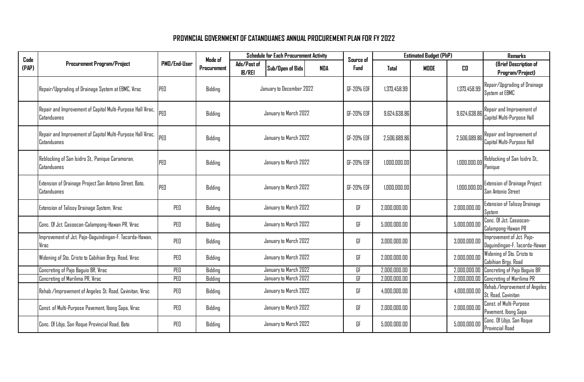| Code  |                                                                            |              | Mode of     |                              | <b>Schedule for Each Procurement Activity</b> |     | Source of   |              | <b>Estimated Budget (PhP)</b> | <b>Remarks</b> |                                                            |
|-------|----------------------------------------------------------------------------|--------------|-------------|------------------------------|-----------------------------------------------|-----|-------------|--------------|-------------------------------|----------------|------------------------------------------------------------|
| (PAP) | <b>Procurement Program/Project</b>                                         | PMD/End-User | Procurement | Ads/Post of<br><b>IB/REI</b> | Sub/Open of Bids                              | NDA | <b>Fund</b> | Total        | <b>MODE</b>                   | CO             | (Brief Description of<br>Program/Project)                  |
|       | Repair/Upgrading of Drainage System at EBMC, Virac                         | PED          | Bidding     |                              | January to December 2022                      |     | GF-20% EDF  | 1.373.458.99 |                               | 1,373,458.99   | Repair/Upgrading of Drainage<br>System at EBMC             |
|       | Repair and Improvement of Capitol Multi-Purpose Hall Virac,<br>Catanduanes | PED          | Bidding     |                              | January to March 2022                         |     | GF-20% EDF  | 9.624.638.86 |                               | 9,624,638.86   | Repair and Improvement of<br>Capitol Multi-Purpose Hall    |
|       | Repair and Improvement of Capitol Multi-Purpose Hall Virac,<br>Catanduanes | PED          | Bidding     |                              | January to March 2022                         |     | GF-20% EDF  | 2,506,689.86 |                               | 2,506,689.86   | Repair and Improvement of<br>Capitol Multi-Purpose Hall    |
|       | Reblocking of San Isidro St., Panique Caramoran,<br>Catanduanes            | PED          | Bidding     |                              | January to March 2022                         |     | GF-20% EDF  | 1,000,000.00 |                               | 1,000,000.00   | Reblocking of San Isidro St.,<br>Panique                   |
|       | Extension of Drainage Project San Antonio Street, Bato,<br>Catanduanes     | PED          | Bidding     |                              | January to March 2022                         |     | GF-20% EDF  | 1,000,000.00 |                               | 1,000,000.00   | <b>Extension of Drainage Project</b><br>San Antonio Street |
|       | Extension of Talisoy Drainage System, Virac                                | PED          | Bidding     |                              | January to March 2022                         |     | GF          | 2,000,000.00 |                               | 2,000,000.00   | Extension of Talisoy Drainage<br>System                    |
|       | Conc. Of Jct. Casoocan-Calampong-Hawan PR, Virac                           | PED          | Bidding     |                              | January to March 2022                         |     | GF          | 5,000,000.00 |                               | 5,000,000.00   | Conc. Of Jet. Casoocan-<br>Calampong-Hawan PR              |
|       | mprovement of Jct. Pajo-Daguindingan-F. Tacorda-Hawan,<br>Virac            | PEO          | Bidding     |                              | January to March 2022                         |     | GF          | 3.000.000.00 |                               | 3.000.000.00   | Improvement of Jct. Pajo-<br>Daguindingan-F. Tacorda-Hawan |
|       | Widening of Sto. Cristo to Cabihian Brgy. Road, Virac                      | PED          | Bidding     |                              | January to March 2022                         |     | GF          | 2,000,000.00 |                               | 2,000,000.00   | Widening of Sto. Cristo to<br>Cabihian Brgy. Road          |
|       | Concreting of Pajo Baguio BR, Virac                                        | PEO          | Bidding     |                              | January to March 2022                         |     | GF          | 2,000,000.00 |                               | 2,000,000.00   | Concreting of Pajo Baguio BR                               |
|       | Concreting of Marilima PR, Virac                                           | PEO          | Bidding     |                              | January to March 2022                         |     | GF          | 2,000,000.00 |                               | 2,000,000.00   | Concreting of Marilima PR                                  |
|       | Rehab./Improvement of Angeles St. Road, Cavinitan, Virac                   | PED          | Bidding     |                              | January to March 2022                         |     | GF          | 4,000,000.00 |                               | 4,000,000.00   | Rehab./Improvement of Angeles<br>St. Road, Cavinitan       |
|       | Const. of Multi-Purpose Pavement, Ibong Sapa, Virac                        | PED          | Bidding     |                              | January to March 2022                         |     | GF          | 2,000,000.00 |                               | 2,000,000.00   | Const. of Multi-Purpose<br>Pavement, Ibong Sapa            |
|       | Conc. Of Libjo, San Roque Provincial Road, Bato                            | PED          | Bidding     |                              | January to March 2022                         |     | GF          | 5,000,000.00 |                               | 5,000,000.00   | Conc. Of Libjo, San Roque<br><b>Provincial Road</b>        |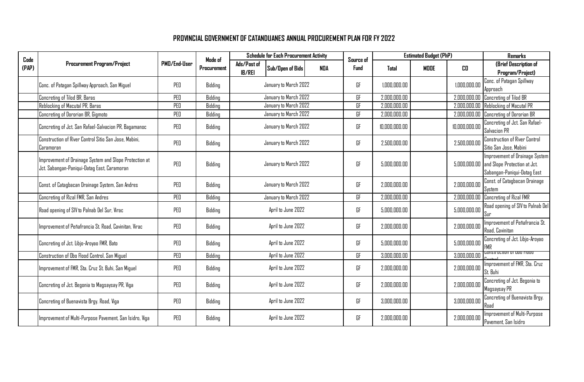| Code  |                                                                                                       |              | Mode of     |                              | <b>Schedule for Each Procurement Activity</b> | Source of |      | <b>Estimated Budget (PhP)</b> | <b>Remarks</b> |               |                                                                                                            |
|-------|-------------------------------------------------------------------------------------------------------|--------------|-------------|------------------------------|-----------------------------------------------|-----------|------|-------------------------------|----------------|---------------|------------------------------------------------------------------------------------------------------------|
| (PAP) | <b>Procurement Program/Project</b>                                                                    | PMD/End-User | Procurement | Ads/Past of<br><b>IB/REI</b> | Sub/Open of Bids                              | NDA       | Fund | Total                         | <b>MDDE</b>    | CO.           | (Brief Description of<br>Program/Project)                                                                  |
|       | Conc. of Patagan Spillway Approach, San Miguel                                                        | PED          | Bidding     |                              | January to March 2022                         |           | GF   | 1,000,000.00                  |                | 1.000.000.00  | Conc. of Patagan Spillway<br>Approach                                                                      |
|       | Concreting of Tilod BR, Baras                                                                         | PED          | Bidding     |                              | January to March 2022                         |           | GF   | 2,000,000.00                  |                |               | 2,000,000.00 Concreting of Tilod BR                                                                        |
|       | Reblocking of Macutal PR, Baras                                                                       | PEO          | Bidding     |                              | January to March 2022                         |           | GF   | 2.000.000.00                  |                | 2.000.000.00  | Reblocking of Macutal PR                                                                                   |
|       | Concreting of Dororian BR, Gigmoto                                                                    | PED          | Bidding     |                              | January to March 2022                         |           | GF   | 2,000,000.00                  |                |               | 2,000,000.00 Concreting of Dororian BR                                                                     |
|       | Concreting of Jct. San Rafael-Salvacion PR, Bagamanoc                                                 | PED          | Bidding     |                              | January to March 2022                         |           | GF   | 10,000,000.00                 |                | 10,000,000.00 | Concreting of Jct. San Rafael-<br>Salvacion PR                                                             |
|       | Construction of River Control Sitio San Jose, Mabini,<br>Jaramoran                                    | PEO          | Bidding     |                              | January to March 2022                         |           | GF   | 2,500,000,00                  |                | 2.500.000.00  | <b>Construction of River Control</b><br>Sitio San Jose, Mabini                                             |
|       | Improvement of Drainage System and Slope Protection at<br>Jct. Sabangan-Paniqui-Datag East, Caramoran | PEO          | Bidding     |                              | January to March 2022                         |           | GF   | 5,000,000.00                  |                |               | Improvement of Drainage System<br>5,000,000.00 and Slope Protection at Jct.<br>Sabangan-Paniqui-Datag East |
|       | Const. of Catagbacan Drainage System, San Andres                                                      | PEO          | Bidding     |                              | January to March 2022                         |           | GF   | 2.000.000.00                  |                | 2.000.000.00  | Const. of Catagbacan Drainage<br>System                                                                    |
|       | Concreting of Rizal FMR, San Andres                                                                   | PED          | Bidding     |                              | January to March 2022                         |           | GF   | 2,000,000.00                  |                | 2,000,000.00  | <b>Concreting of Rizal FMR</b>                                                                             |
|       | Road opening of SIV to Palnab Del Sur, Virac                                                          | PEO          | Bidding     |                              | April to June 2022                            |           | GF   | 5,000,000.00                  |                | 5,000,000.00  | Road opening of SIV to Palnab Del<br>Sur                                                                   |
|       | Improvement of Peñafrancia St. Road, Cavinitan, Virac                                                 | PED          | Bidding     |                              | April to June 2022                            |           | GF   | 2,000,000.00                  |                | 2.000.000.00  | Improvement of Peñafrancia St.<br>Road, Cavinitan                                                          |
|       | Concreting of Jct. Libjo-Aroyao FMR, Bato                                                             | PED          | Bidding     |                              | April to June 2022                            |           | GF   | 5,000,000.00                  |                | 5,000,000.00  | Concreting of Jct. Libjo-Aroyao                                                                            |
|       | Construction of Obo Flood Control, San Miguel                                                         | PED          | Bidding     |                              | April to June 2022                            |           | GF   | 3,000,000.00                  |                | 3,000,000.00  | ionstruction of opo Hood                                                                                   |
|       | mprovement of FMR, Sta. Cruz St. Buhi, San Miguel                                                     | PED          | Bidding     |                              | April to June 2022                            |           | GF   | 2,000,000.00                  |                | 2,000,000.00  | Improvement of FMR, Sta. Cruz<br>St. Buhi                                                                  |
|       | Concreting of Jct. Begonia to Magsaysay PR, Viga                                                      | PED          | Bidding     |                              | April to June 2022                            |           | GF   | 2,000,000.00                  |                | 2,000,000.00  | Concreting of Jct. Begonia to<br>Magsaysay PR                                                              |
|       | Concreting of Buenavista Brgy. Road, Viga                                                             | PEO          | Bidding     |                              | April to June 2022                            |           | GF   | 3,000,000.00                  |                | 3.000.000.00  | Concreting of Buenavista Brgy.<br>Road                                                                     |
|       | Improvement of Multi-Purpose Pavement, San Isidro, Viga                                               | PED          | Bidding     |                              | April to June 2022                            |           | GF   | 2,000,000.00                  |                | 2,000,000.00  | Improvement of Multi-Purpose<br>Pavement, San Isidro                                                       |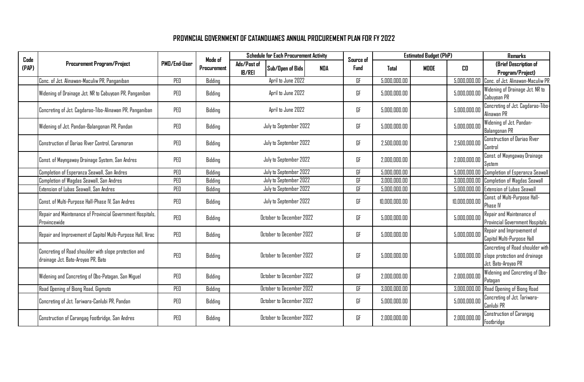| Code  |                                                                                             | Made of      |             | <b>Schedule for Each Procurement Activity</b>           | Source of   |               | <b>Estimated Budget (PhP)</b> | <b>Remarks</b> |                                                                                                       |
|-------|---------------------------------------------------------------------------------------------|--------------|-------------|---------------------------------------------------------|-------------|---------------|-------------------------------|----------------|-------------------------------------------------------------------------------------------------------|
| (PAP) | <b>Procurement Program/Project</b>                                                          | PMD/End-User | Procurement | Ads/Post of<br>Sub/Open of Bids<br>NDA<br><b>IB/REI</b> | <b>Fund</b> | <b>Total</b>  | <b>MDDE</b>                   | CO.            | (Brief Description of<br>Program/Project)                                                             |
|       | Conc. of Jct. Alinawan-Maculiw PR, Panganiban                                               | PED          | Bidding     | April to June 2022                                      | GF          | 5,000,000.00  |                               | 5,000,000.00   | Conc. of Jct. Alinawan-Maculiw PR                                                                     |
|       | Widening of Drainage Jct. NR to Cabuyoan PR, Panganiban                                     | PEO          | Bidding     | April to June 2022                                      | GF          | 5,000,000.00  |                               | 5,000,000.00   | Widening of Drainage Jct. NR to<br>Cabuyoan PR                                                        |
|       | Concreting of Jct. Cagdarao-Tibo-Alinawan PR, Panganiban                                    | PEO          | Bidding     | April to June 2022                                      | GF          | 5,000,000.00  |                               | 5,000,000.00   | Concreting of Jct. Cagdarao-Tibo-<br>Alinawan PR                                                      |
|       | Widening of Jct. Pandan-Balangonan PR, Pandan                                               | PED          | Bidding     | July to September 2022                                  | GF          | 5,000,000.00  |                               | 5,000,000.00   | Widening of Jct. Pandan-<br><b>Balangonan PR</b>                                                      |
|       | Construction of Dariao River Control, Caramoran                                             | PEO          | Bidding     | July to September 2022                                  | GF          | 2,500,000.00  |                               | 2,500,000.00   | Construction of Dariao River<br>Control                                                               |
|       | Const. of Mayngaway Drainage System, San Andres                                             | PEO          | Bidding     | July to September 2022                                  | GF          | 2,000,000.00  |                               | 2,000,000.00   | Const. of Mayngaway Drainage<br>System                                                                |
|       | Completion of Esperanza Seawall, San Andres                                                 | PED          | Bidding     | July to September 2022                                  | GF          | 5,000,000.00  |                               | 5,000,000.00   | Completion of Esperanza Seawall                                                                       |
|       | Completion of Wagdas Seawall, San Andres                                                    | PEO          | Bidding     | July to September 2022                                  | GF          | 3,000,000.00  |                               | 3,000,000.00   | Completion of Wagdas Seawall                                                                          |
|       | Extension of Lubas Seawall, San Andres                                                      | PED          | Bidding     | July to September 2022                                  | GF          | 5,000,000.00  |                               | 5,000,000.00   | <b>Extension of Lubas Seawall</b>                                                                     |
|       | Const. of Multi-Purpose Hall-Phase IV, San Andres                                           | PED          | Bidding     | July to September 2022                                  | GF          | 10,000,000.00 |                               | 10.000.000.00  | Const. of Multi-Purpose Hall-<br>Phase IV                                                             |
|       | Repair and Maintenance of Provincial Government Hospitals,<br>Provincewide                  | PEO          | Bidding     | October to December 2022                                | GF          | 5,000,000.00  |                               | 5,000,000.00   | Repair and Maintenance of<br>Provincial Government Hospitals                                          |
|       | Repair and Improvement of Capitol Multi-Purpose Hall, Virac                                 | PED          | Bidding     | October to December 2022                                | GF          | 5,000,000.00  |                               | 5,000,000.00   | Repair and Improvement of<br>Capitol Multi-Purpose Hall                                               |
|       | Concreting of Road shoulder with slope protection and<br>drainage Jct. Bato-Aroyao PR, Bato | PEO          | Bidding     | October to December 2022                                | GF          | 5,000,000.00  |                               |                | Concreting of Road shoulder with<br>5,000,000.00 slope protection and drainage<br>Jct. Bato-Aroyao PR |
|       | Widening and Concreting of Obo-Patagan, San Miguel                                          | PEO          | Bidding     | October to December 2022                                | GF          | 2.000.000.00  |                               | 2,000,000.00   | Widening and Concreting of Obo-<br>Patagan                                                            |
|       | Road Opening of Biong Road, Gigmoto                                                         | PED          | Bidding     | October to December 2022                                | GF          | 3,000,000.00  |                               | 3,000,000.00   | Road Opening of Biong Road                                                                            |
|       | Concreting of Jct. Tariwara-Canlubi PR, Pandan                                              | PED          | Bidding     | October to December 2022                                | GF          | 5,000,000.00  |                               | 5,000,000.00   | Concreting of Jct. Tariwara-<br>Canlubi PR                                                            |
|       | Construction of Carangag Footbridge, San Andres                                             | PEO          | Bidding     | October to December 2022                                | GF          | 2,000,000.00  |                               | 2,000,000.00   | <b>Construction of Carangag</b><br>Footbridge                                                         |